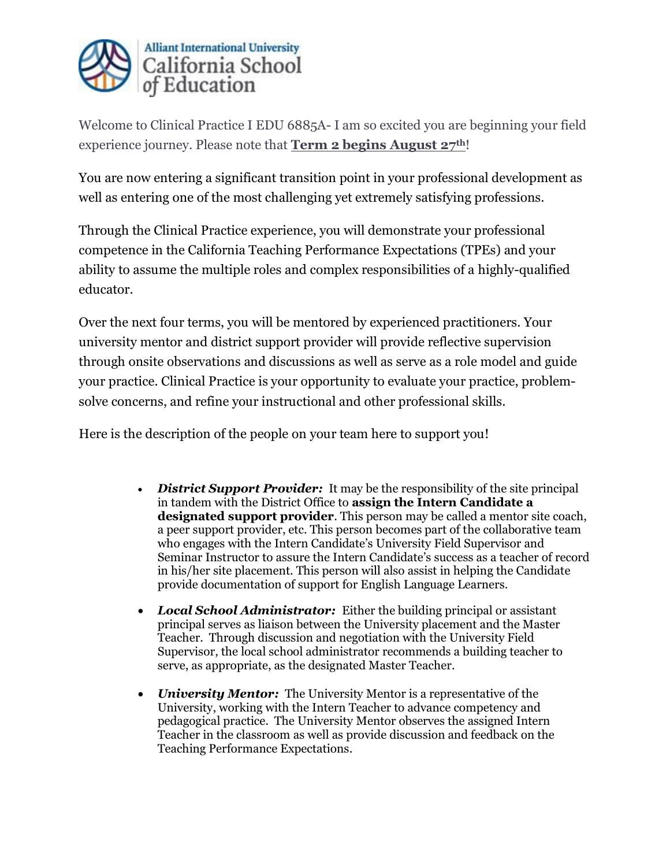

Welcome to Clinical Practice I EDU 6885A- I am so excited you are beginning your field experience journey. Please note that **Term 2 begins August 27th**!

You are now entering a significant transition point in your professional development as well as entering one of the most challenging yet extremely satisfying professions.

Through the Clinical Practice experience, you will demonstrate your professional competence in the California Teaching Performance Expectations (TPEs) and your ability to assume the multiple roles and complex responsibilities of a highly-qualified educator.

Over the next four terms, you will be mentored by experienced practitioners. Your university mentor and district support provider will provide reflective supervision through onsite observations and discussions as well as serve as a role model and guide your practice. Clinical Practice is your opportunity to evaluate your practice, problemsolve concerns, and refine your instructional and other professional skills.

Here is the description of the people on your team here to support you!

- *District Support Provider:* It may be the responsibility of the site principal in tandem with the District Office to **assign the Intern Candidate a designated support provider**. This person may be called a mentor site coach, a peer support provider, etc. This person becomes part of the collaborative team who engages with the Intern Candidate's University Field Supervisor and Seminar Instructor to assure the Intern Candidate's success as a teacher of record in his/her site placement. This person will also assist in helping the Candidate provide documentation of support for English Language Learners.
- *Local School Administrator:* Either the building principal or assistant principal serves as liaison between the University placement and the Master Teacher. Through discussion and negotiation with the University Field Supervisor, the local school administrator recommends a building teacher to serve, as appropriate, as the designated Master Teacher.
- *University Mentor:* The University Mentor is a representative of the University, working with the Intern Teacher to advance competency and pedagogical practice. The University Mentor observes the assigned Intern Teacher in the classroom as well as provide discussion and feedback on the Teaching Performance Expectations.